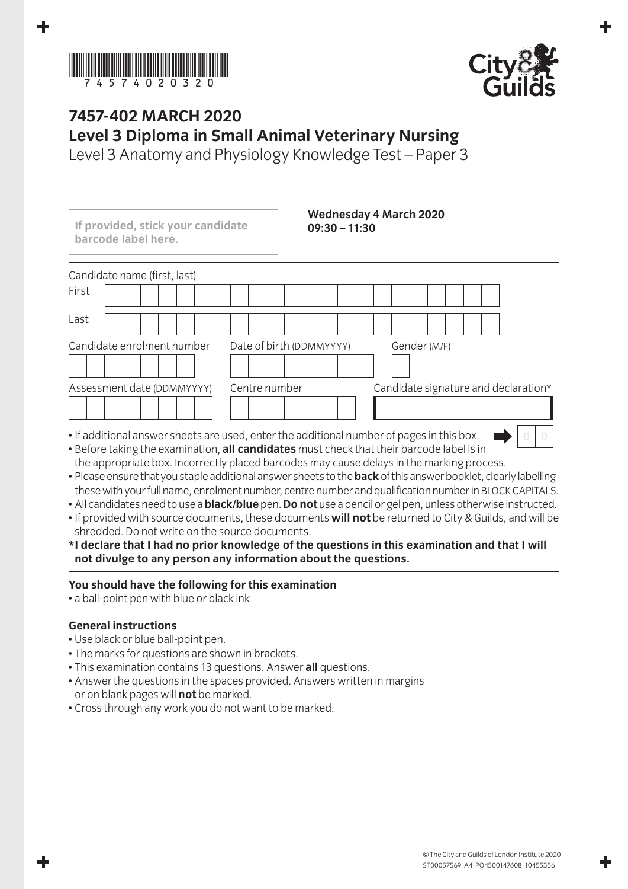



## **7457-402 March 2020 Level 3 Diploma in Small Animal Veterinary Nursing**

Level 3 Anatomy and Physiology Knowledge Test – Paper 3

| If provided, stick your candidate<br>barcode label here. | $09:30 - 11:30$                                                                           | <b>Wednesday 4 March 2020</b>        |
|----------------------------------------------------------|-------------------------------------------------------------------------------------------|--------------------------------------|
| Candidate name (first, last)                             |                                                                                           |                                      |
| First                                                    |                                                                                           |                                      |
| Last                                                     |                                                                                           |                                      |
| Candidate enrolment number                               | Date of birth (DDMMYYYY)                                                                  | Gender (M/F)                         |
| Assessment date (DDMMYYYY)                               | Centre number                                                                             | Candidate signature and declaration* |
|                                                          |                                                                                           |                                      |
|                                                          | • If additional answer sheets are used, enter the additional number of pages in this box. |                                      |

- Before taking the examination, **all candidates** must check that their barcode label is in the appropriate box. Incorrectly placed barcodes may cause delays in the marking process.
- Please ensure that you staple additional answer sheets to the **back** of this answer booklet, clearly labelling these with your full name, enrolment number, centre number and qualification number in BLOCK CAPITALS.
- All candidates need to use a **black/blue** pen. **Do not** use a pencil or gel pen, unless otherwise instructed.
- If provided with source documents, these documents **will not** be returned to City & Guilds, and will be shredded. Do not write on the source documents.
- **\* I declare that I had no prior knowledge of the questions in this examination and that I will not divulge to any person any information about the questions.**

## **You should have the following for this examination**

• a ball-point pen with blue or black ink

## **General instructions**

- Use black or blue ball-point pen.
- The marks for questions are shown in brackets.
- This examination contains 13 questions. Answer **all** questions.
- Answer the questions in the spaces provided. Answers written in margins or on blank pages will **not** be marked.
- Cross through any work you do not want to be marked.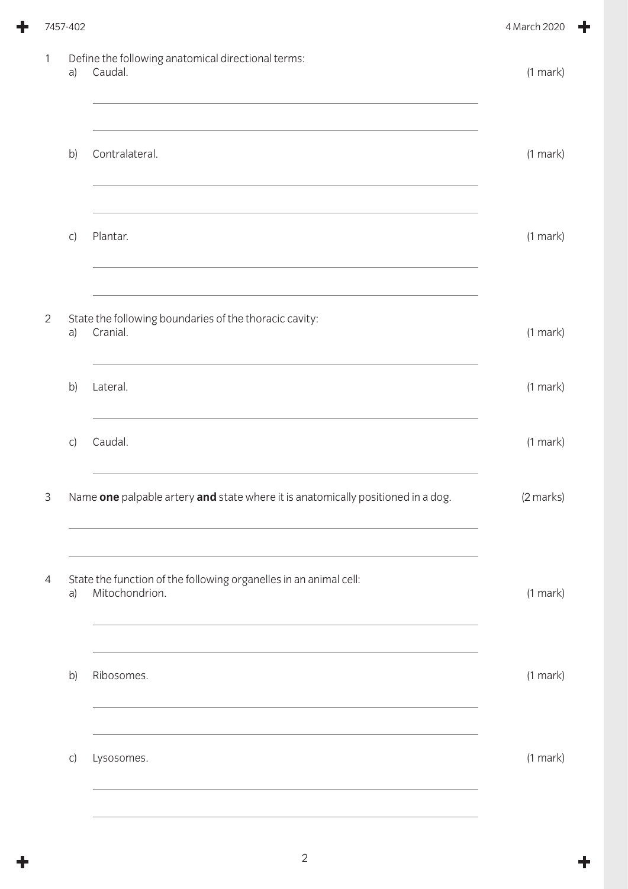|                | 7457-402 |                                                                                                                                                                                                                                             | 4 March 2020  |
|----------------|----------|---------------------------------------------------------------------------------------------------------------------------------------------------------------------------------------------------------------------------------------------|---------------|
| 1              | a)       | Define the following anatomical directional terms:<br>Caudal.                                                                                                                                                                               | $(1$ mark $)$ |
|                | b)       | Contralateral.                                                                                                                                                                                                                              | $(1$ mark $)$ |
|                | C)       | Plantar.                                                                                                                                                                                                                                    | $(1$ mark $)$ |
| $\overline{2}$ | a)       | State the following boundaries of the thoracic cavity:<br>Cranial.                                                                                                                                                                          | $(1$ mark $)$ |
|                | b)       | Lateral.                                                                                                                                                                                                                                    | $(1$ mark $)$ |
|                | C)       | Caudal.                                                                                                                                                                                                                                     | (1 mark)      |
| $\mathsf 3$    |          | Name one palpable artery and state where it is anatomically positioned in a dog.                                                                                                                                                            | (2 marks)     |
| 4              | a)       | State the function of the following organelles in an animal cell:<br>Mitochondrion.<br>and the control of the control of the control of the control of the control of the control of the control of the                                     | $(1$ mark $)$ |
|                | b)       | Ribosomes.<br>the control of the control of the control of the control of the control of the control of the control of the control of the control of the control of the control of the control of the control of the control of the control | (1 mark)      |
|                | C)       | Lysosomes.                                                                                                                                                                                                                                  | $(1$ mark $)$ |
|                |          |                                                                                                                                                                                                                                             |               |

 $\ddagger$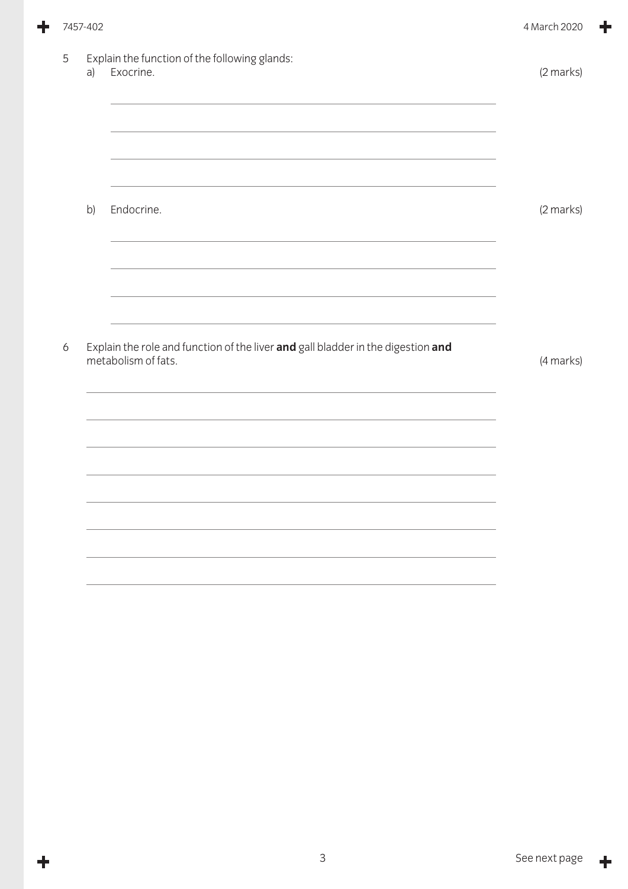|   | 7457-402 |                                                                                                         | 4 March 2020 |
|---|----------|---------------------------------------------------------------------------------------------------------|--------------|
| 5 | a)       | Explain the function of the following glands:<br>Exocrine.                                              | (2 marks)    |
|   |          |                                                                                                         |              |
|   | b)       | Endocrine.                                                                                              | (2 marks)    |
| 6 |          | Explain the role and function of the liver and gall bladder in the digestion and                        |              |
|   |          | metabolism of fats.<br>,我们也不能在这里,我们也不能在这里的时候,我们也不能会在这里,我们也不能会在这里的时候,我们也不能会在这里的时候,我们也不能会在这里的时候,我们也不能会在这里 | (4 marks)    |
|   |          |                                                                                                         |              |
|   |          |                                                                                                         |              |
|   |          |                                                                                                         |              |

 $\ddot{\phantom{1}}$ 

 $\ddagger$ 

╋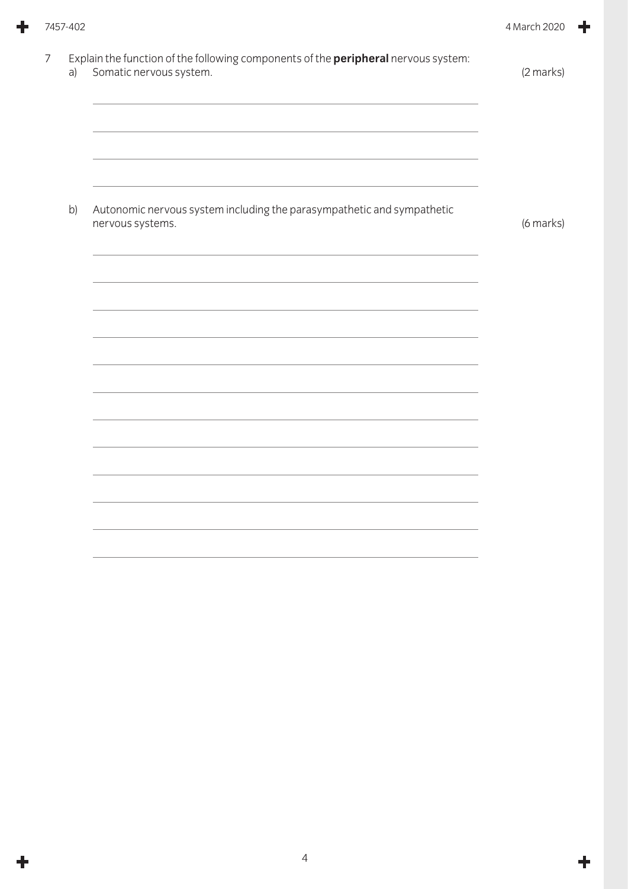|   | 7457-402 |                                                                                                                      | 4 March 2020 |
|---|----------|----------------------------------------------------------------------------------------------------------------------|--------------|
| 7 | a)       | Explain the function of the following components of the <i>peripheral</i> nervous system:<br>Somatic nervous system. | (2 marks)    |
|   |          |                                                                                                                      |              |
|   | b)       | Autonomic nervous system including the parasympathetic and sympathetic<br>nervous systems.                           | (6 marks)    |
|   |          |                                                                                                                      |              |
|   |          |                                                                                                                      |              |
|   |          |                                                                                                                      |              |
|   |          |                                                                                                                      |              |
|   |          |                                                                                                                      |              |
|   |          |                                                                                                                      |              |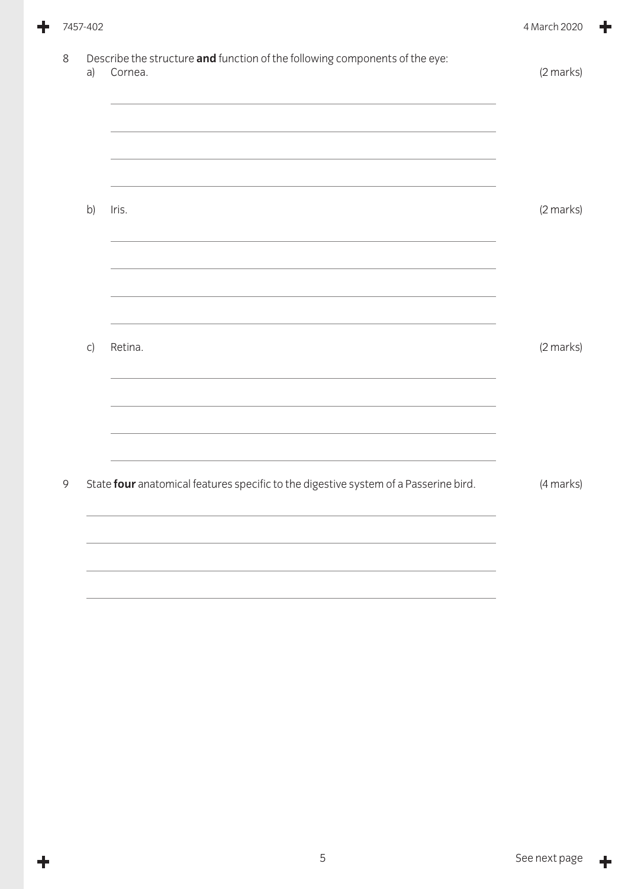|   | 7457-402 |                                                                                        | 4 March 2020 |
|---|----------|----------------------------------------------------------------------------------------|--------------|
| 8 | a)       | Describe the structure and function of the following components of the eye:<br>Cornea. | (2 marks)    |
|   |          |                                                                                        |              |
|   | b)       | Iris.                                                                                  | (2 marks)    |
|   |          | <u> 1989 - Johann Stoff, amerikansk politiker (d. 1989)</u>                            |              |
|   |          |                                                                                        |              |
|   | C)       | Retina.                                                                                | (2 marks)    |
|   |          | <u> 1989 - Johann Stoff, amerikansk politiker (d. 1989)</u>                            |              |
| 9 |          | State four anatomical features specific to the digestive system of a Passerine bird.   | (4 marks)    |
|   |          |                                                                                        |              |
|   |          |                                                                                        |              |

 $\ddagger$ 

 $\ddag$ 

٠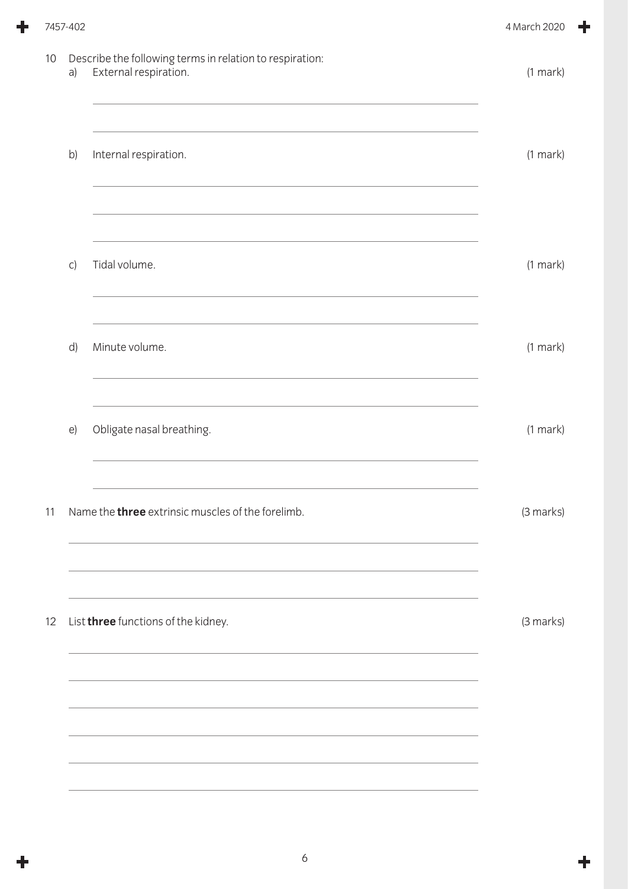|    | 7457-402 |                                                                                                                                                                                | 4 March 2020  |  |
|----|----------|--------------------------------------------------------------------------------------------------------------------------------------------------------------------------------|---------------|--|
| 10 | a)       | Describe the following terms in relation to respiration:<br>External respiration.<br>the control of the control of the control of the control of the control of the control of | $(1$ mark $)$ |  |
|    | b)       | Internal respiration.                                                                                                                                                          | $(1$ mark $)$ |  |
|    | C)       | Tidal volume.                                                                                                                                                                  | $(1$ mark $)$ |  |
|    | d)       | Minute volume.                                                                                                                                                                 | $(1$ mark $)$ |  |
|    | e)       | Obligate nasal breathing.                                                                                                                                                      | $(1$ mark $)$ |  |
| 11 |          | Name the <b>three</b> extrinsic muscles of the forelimb.                                                                                                                       | (3 marks)     |  |
| 12 |          | List three functions of the kidney.                                                                                                                                            | (3 marks)     |  |
|    |          |                                                                                                                                                                                |               |  |
|    |          |                                                                                                                                                                                |               |  |

 $\ddot{\phantom{1}}$ 

 $\ddagger$